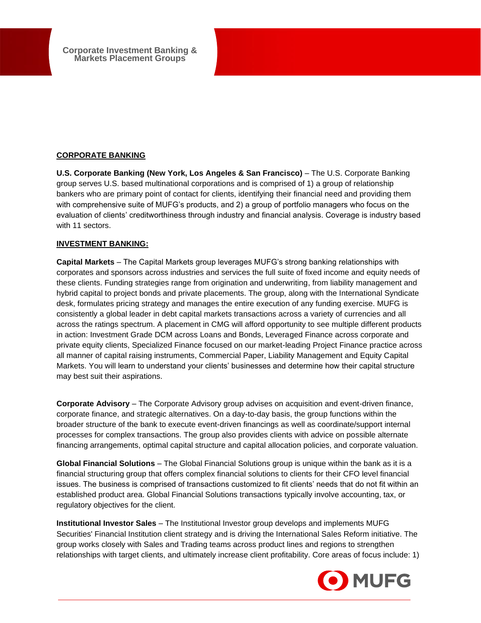**Corporate Investment Banking & Markets Placement Groups**

## **CORPORATE BANKING**

**U.S. Corporate Banking (New York, Los Angeles & San Francisco) – The U.S. Corporate Banking** group serves U.S. based multinational corporations and is comprised of 1) a group of relationship bankers who are primary point of contact for clients, identifying their financial need and providing them with comprehensive suite of MUFG's products, and 2) a group of portfolio managers who focus on the evaluation of clients' creditworthiness through industry and financial analysis. Coverage is industry based with 11 sectors.

## **INVESTMENT BANKING:**

**Capital Markets** – The Capital Markets group leverages MUFG's strong banking relationships with corporates and sponsors across industries and services the full suite of fixed income and equity needs of these clients. Funding strategies range from origination and underwriting, from liability management and hybrid capital to project bonds and private placements. The group, along with the International Syndicate desk, formulates pricing strategy and manages the entire execution of any funding exercise. MUFG is consistently a global leader in debt capital markets transactions across a variety of currencies and all across the ratings spectrum. A placement in CMG will afford opportunity to see multiple different products in action: Investment Grade DCM across Loans and Bonds, Leveraged Finance across corporate and private equity clients, Specialized Finance focused on our market-leading Project Finance practice across all manner of capital raising instruments, Commercial Paper, Liability Management and Equity Capital Markets. You will learn to understand your clients' businesses and determine how their capital structure may best suit their aspirations.

**Corporate Advisory** – The Corporate Advisory group advises on acquisition and event-driven finance, corporate finance, and strategic alternatives. On a day-to-day basis, the group functions within the broader structure of the bank to execute event-driven financings as well as coordinate/support internal processes for complex transactions. The group also provides clients with advice on possible alternate financing arrangements, optimal capital structure and capital allocation policies, and corporate valuation.

**Global Financial Solutions** – The Global Financial Solutions group is unique within the bank as it is a financial structuring group that offers complex financial solutions to clients for their CFO level financial issues. The business is comprised of transactions customized to fit clients' needs that do not fit within an established product area. Global Financial Solutions transactions typically involve accounting, tax, or regulatory objectives for the client.

**Institutional Investor Sales** – The Institutional Investor group develops and implements MUFG Securities' Financial Institution client strategy and is driving the International Sales Reform initiative. The group works closely with Sales and Trading teams across product lines and regions to strengthen relationships with target clients, and ultimately increase client profitability. Core areas of focus include: 1)

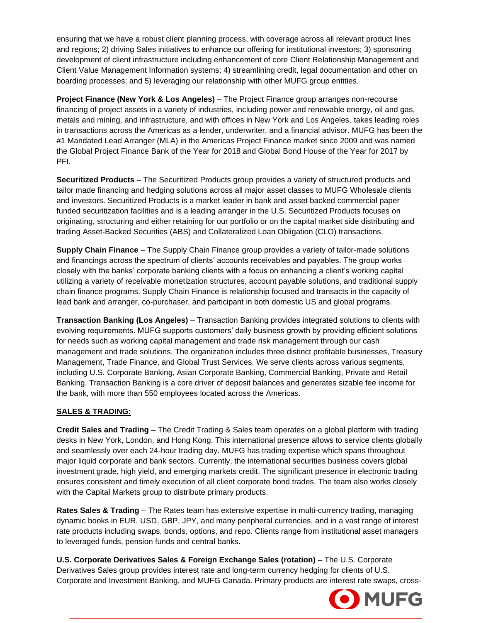ensuring that we have a robust client planning process, with coverage across all relevant product lines and regions; 2) driving Sales initiatives to enhance our offering for institutional investors; 3) sponsoring development of client infrastructure including enhancement of core Client Relationship Management and Client Value Management Information systems; 4) streamlining credit, legal documentation and other on boarding processes; and 5) leveraging our relationship with other MUFG group entities.

**Project Finance (New York & Los Angeles)** – The Project Finance group arranges non-recourse financing of project assets in a variety of industries, including power and renewable energy, oil and gas, metals and mining, and infrastructure, and with offices in New York and Los Angeles, takes leading roles in transactions across the Americas as a lender, underwriter, and a financial advisor. MUFG has been the #1 Mandated Lead Arranger (MLA) in the Americas Project Finance market since 2009 and was named the Global Project Finance Bank of the Year for 2018 and Global Bond House of the Year for 2017 by PFI.

**Securitized Products** – The Securitized Products group provides a variety of structured products and tailor made financing and hedging solutions across all major asset classes to MUFG Wholesale clients and investors. Securitized Products is a market leader in bank and asset backed commercial paper funded securitization facilities and is a leading arranger in the U.S. Securitized Products focuses on originating, structuring and either retaining for our portfolio or on the capital market side distributing and trading Asset-Backed Securities (ABS) and Collateralized Loan Obligation (CLO) transactions.

**Supply Chain Finance** – The Supply Chain Finance group provides a variety of tailor-made solutions and financings across the spectrum of clients' accounts receivables and payables. The group works closely with the banks' corporate banking clients with a focus on enhancing a client's working capital utilizing a variety of receivable monetization structures, account payable solutions, and traditional supply chain finance programs. Supply Chain Finance is relationship focused and transacts in the capacity of lead bank and arranger, co-purchaser, and participant in both domestic US and global programs.

**Transaction Banking (Los Angeles)** – Transaction Banking provides integrated solutions to clients with evolving requirements. MUFG supports customers' daily business growth by providing efficient solutions for needs such as working capital management and trade risk management through our cash management and trade solutions. The organization includes three distinct profitable businesses, Treasury Management, Trade Finance, and Global Trust Services. We serve clients across various segments, including U.S. Corporate Banking, Asian Corporate Banking, Commercial Banking, Private and Retail Banking. Transaction Banking is a core driver of deposit balances and generates sizable fee income for the bank, with more than 550 employees located across the Americas.

## **SALES & TRADING:**

**Credit Sales and Trading** – The Credit Trading & Sales team operates on a global platform with trading desks in New York, London, and Hong Kong. This international presence allows to service clients globally and seamlessly over each 24-hour trading day. MUFG has trading expertise which spans throughout major liquid corporate and bank sectors. Currently, the international securities business covers global investment grade, high yield, and emerging markets credit. The significant presence in electronic trading ensures consistent and timely execution of all client corporate bond trades. The team also works closely with the Capital Markets group to distribute primary products.

**Rates Sales & Trading** – The Rates team has extensive expertise in multi-currency trading, managing dynamic books in EUR, USD, GBP, JPY, and many peripheral currencies, and in a vast range of interest rate products including swaps, bonds, options, and repo. Clients range from institutional asset managers to leveraged funds, pension funds and central banks.

**U.S. Corporate Derivatives Sales & Foreign Exchange Sales (rotation)** – The U.S. Corporate Derivatives Sales group provides interest rate and long-term currency hedging for clients of U.S. Corporate and Investment Banking, and MUFG Canada. Primary products are interest rate swaps, cross-